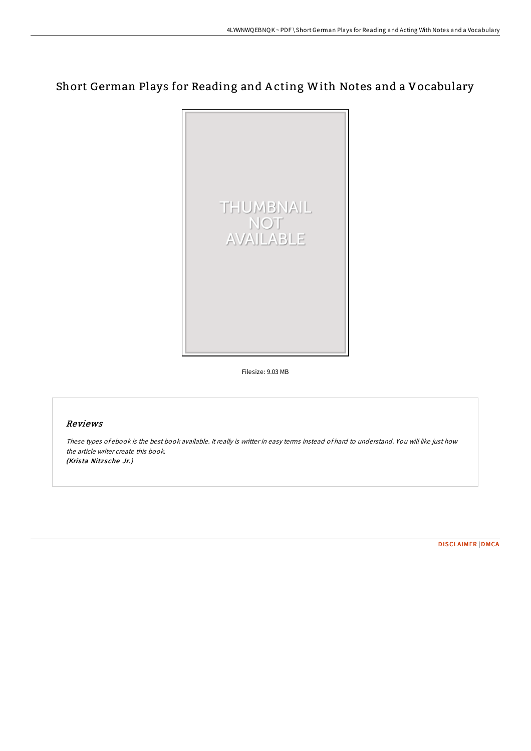# Short German Plays for Reading and A cting With Notes and a Vocabulary



Filesize: 9.03 MB

## Reviews

These types of ebook is the best book available. It really is writter in easy terms instead of hard to understand. You will like just how the article writer create this book. (Krista Nitzsche Jr.)

[DISCLAIMER](http://almighty24.tech/disclaimer.html) | [DMCA](http://almighty24.tech/dmca.html)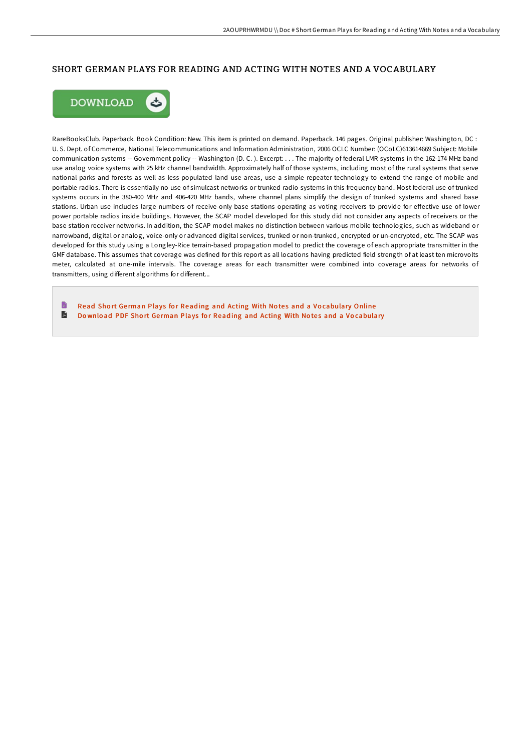## SHORT GERMAN PLAYS FOR READING AND ACTING WITH NOTES AND A VOCABULARY



RareBooksClub. Paperback. Book Condition: New. This item is printed on demand. Paperback. 146 pages. Original publisher: Washington, DC : U. S. Dept. of Commerce, National Telecommunications and Information Administration, 2006 OCLC Number: (OCoLC)613614669 Subject: Mobile communication systems -- Government policy -- Washington (D. C. ). Excerpt: . . . The majority of federal LMR systems in the 162-174 MHz band use analog voice systems with 25 kHz channel bandwidth. Approximately half of those systems, including most of the rural systems that serve national parks and forests as well as less-populated land use areas, use a simple repeater technology to extend the range of mobile and portable radios. There is essentially no use of simulcast networks or trunked radio systems in this frequency band. Most federal use of trunked systems occurs in the 380-400 MHz and 406-420 MHz bands, where channel plans simplify the design of trunked systems and shared base stations. Urban use includes large numbers of receive-only base stations operating as voting receivers to provide for effective use of lower power portable radios inside buildings. However, the SCAP model developed for this study did not consider any aspects of receivers or the base station receiver networks. In addition, the SCAP model makes no distinction between various mobile technologies, such as wideband or narrowband, digital or analog, voice-only or advanced digital services, trunked or non-trunked, encrypted or un-encrypted, etc. The SCAP was developed for this study using a Longley-Rice terrain-based propagation model to predict the coverage of each appropriate transmitter in the GMF database. This assumes that coverage was defined for this report as all locations having predicted field strength of at least ten microvolts meter, calculated at one-mile intervals. The coverage areas for each transmitter were combined into coverage areas for networks of transmitters, using different algorithms for different...

B Read Short German Plays for Reading and Acting With Notes and a Vo[cabulary](http://almighty24.tech/short-german-plays-for-reading-and-acting-with-n.html) Online A Download PDF Short German Plays for Reading and Acting With Notes and a Vo[cabulary](http://almighty24.tech/short-german-plays-for-reading-and-acting-with-n.html)